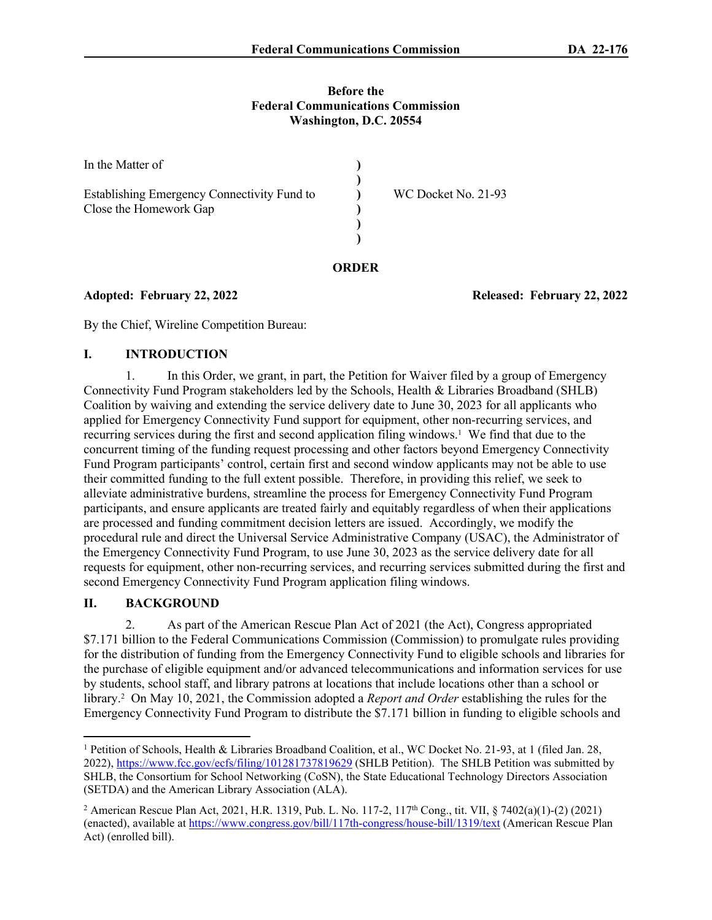#### **Before the Federal Communications Commission Washington, D.C. 20554**

| In the Matter of                                                      |                     |
|-----------------------------------------------------------------------|---------------------|
| Establishing Emergency Connectivity Fund to<br>Close the Homework Gap | WC Docket No. 21-93 |
|                                                                       |                     |

**Adopted: February 22, 2022 Released: February 22, 2022**

By the Chief, Wireline Competition Bureau:

### **I. INTRODUCTION**

1. In this Order, we grant, in part, the Petition for Waiver filed by a group of Emergency Connectivity Fund Program stakeholders led by the Schools, Health & Libraries Broadband (SHLB) Coalition by waiving and extending the service delivery date to June 30, 2023 for all applicants who applied for Emergency Connectivity Fund support for equipment, other non-recurring services, and recurring services during the first and second application filing windows.<sup>1</sup> We find that due to the concurrent timing of the funding request processing and other factors beyond Emergency Connectivity Fund Program participants' control, certain first and second window applicants may not be able to use their committed funding to the full extent possible. Therefore, in providing this relief, we seek to alleviate administrative burdens, streamline the process for Emergency Connectivity Fund Program participants, and ensure applicants are treated fairly and equitably regardless of when their applications are processed and funding commitment decision letters are issued. Accordingly, we modify the procedural rule and direct the Universal Service Administrative Company (USAC), the Administrator of the Emergency Connectivity Fund Program, to use June 30, 2023 as the service delivery date for all requests for equipment, other non-recurring services, and recurring services submitted during the first and second Emergency Connectivity Fund Program application filing windows.

#### **II. BACKGROUND**

2. As part of the American Rescue Plan Act of 2021 (the Act), Congress appropriated \$7.171 billion to the Federal Communications Commission (Commission) to promulgate rules providing for the distribution of funding from the Emergency Connectivity Fund to eligible schools and libraries for the purchase of eligible equipment and/or advanced telecommunications and information services for use by students, school staff, and library patrons at locations that include locations other than a school or library.<sup>2</sup> On May 10, 2021, the Commission adopted a *Report and Order* establishing the rules for the Emergency Connectivity Fund Program to distribute the \$7.171 billion in funding to eligible schools and

<sup>&</sup>lt;sup>1</sup> Petition of Schools, Health & Libraries Broadband Coalition, et al., WC Docket No. 21-93, at 1 (filed Jan. 28, 2022),<https://www.fcc.gov/ecfs/filing/101281737819629> (SHLB Petition). The SHLB Petition was submitted by SHLB, the Consortium for School Networking (CoSN), the State Educational Technology Directors Association (SETDA) and the American Library Association (ALA).

<sup>&</sup>lt;sup>2</sup> American Rescue Plan Act, 2021, H.R. 1319, Pub. L. No. 117-2, 117<sup>th</sup> Cong., tit. VII, § 7402(a)(1)-(2) (2021) (enacted), available at<https://www.congress.gov/bill/117th-congress/house-bill/1319/text> (American Rescue Plan Act) (enrolled bill).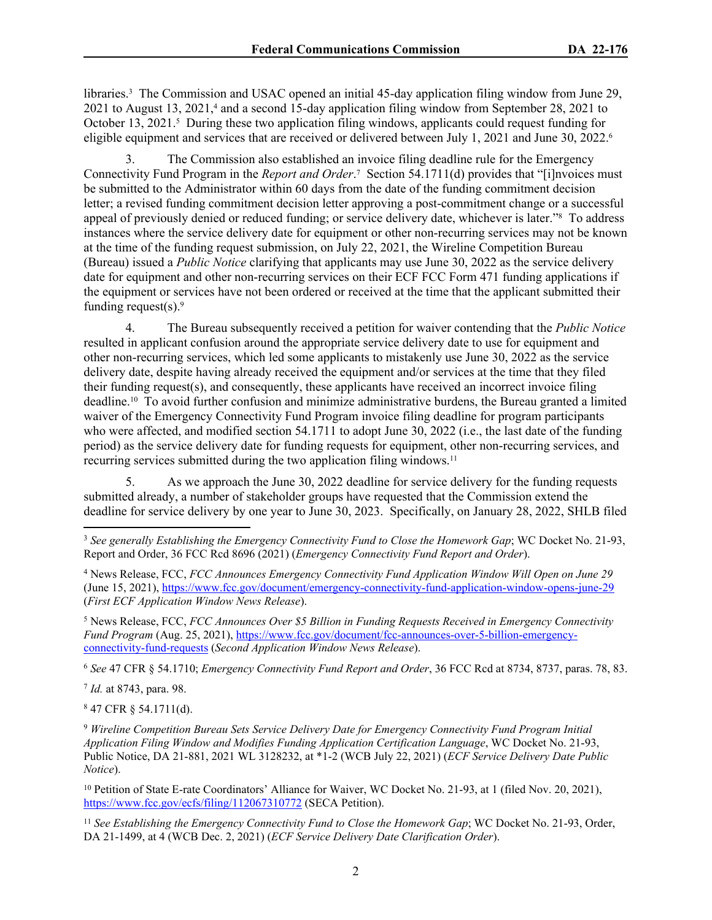libraries.<sup>3</sup> The Commission and USAC opened an initial 45-day application filing window from June 29, 2021 to August 13, 2021,<sup>4</sup> and a second 15-day application filing window from September 28, 2021 to October 13, 2021.<sup>5</sup> During these two application filing windows, applicants could request funding for eligible equipment and services that are received or delivered between July 1, 2021 and June 30, 2022.<sup>6</sup>

3. The Commission also established an invoice filing deadline rule for the Emergency Connectivity Fund Program in the *Report and Order*.<sup>7</sup> Section 54.1711(d) provides that "[i]nvoices must be submitted to the Administrator within 60 days from the date of the funding commitment decision letter; a revised funding commitment decision letter approving a post-commitment change or a successful appeal of previously denied or reduced funding; or service delivery date, whichever is later."<sup>8</sup> To address instances where the service delivery date for equipment or other non-recurring services may not be known at the time of the funding request submission, on July 22, 2021, the Wireline Competition Bureau (Bureau) issued a *Public Notice* clarifying that applicants may use June 30, 2022 as the service delivery date for equipment and other non-recurring services on their ECF FCC Form 471 funding applications if the equipment or services have not been ordered or received at the time that the applicant submitted their funding request $(s)$ .<sup>9</sup>

4. The Bureau subsequently received a petition for waiver contending that the *Public Notice* resulted in applicant confusion around the appropriate service delivery date to use for equipment and other non-recurring services, which led some applicants to mistakenly use June 30, 2022 as the service delivery date, despite having already received the equipment and/or services at the time that they filed their funding request(s), and consequently, these applicants have received an incorrect invoice filing deadline.10 To avoid further confusion and minimize administrative burdens, the Bureau granted a limited waiver of the Emergency Connectivity Fund Program invoice filing deadline for program participants who were affected, and modified section 54.1711 to adopt June 30, 2022 (i.e., the last date of the funding period) as the service delivery date for funding requests for equipment, other non-recurring services, and recurring services submitted during the two application filing windows.<sup>11</sup>

5. As we approach the June 30, 2022 deadline for service delivery for the funding requests submitted already, a number of stakeholder groups have requested that the Commission extend the deadline for service delivery by one year to June 30, 2023. Specifically, on January 28, 2022, SHLB filed

5 News Release, FCC, *FCC Announces Over \$5 Billion in Funding Requests Received in Emergency Connectivity Fund Program* (Aug. 25, 2021), [https://www.fcc.gov/document/fcc-announces-over-5-billion-emergency](https://www.fcc.gov/document/fcc-announces-over-5-billion-emergency-connectivity-fund-requests)[connectivity-fund-requests](https://www.fcc.gov/document/fcc-announces-over-5-billion-emergency-connectivity-fund-requests) (*Second Application Window News Release*).

<sup>6</sup> *See* 47 CFR § 54.1710; *Emergency Connectivity Fund Report and Order*, 36 FCC Rcd at 8734, 8737, paras. 78, 83.

7 *Id.* at 8743, para. 98.

 $847$  CFR § 54.1711(d).

<sup>9</sup> *Wireline Competition Bureau Sets Service Delivery Date for Emergency Connectivity Fund Program Initial Application Filing Window and Modifies Funding Application Certification Language*, WC Docket No. 21-93, Public Notice, DA 21-881, 2021 WL 3128232, at \*1-2 (WCB July 22, 2021) (*ECF Service Delivery Date Public Notice*).

<sup>10</sup> Petition of State E-rate Coordinators' Alliance for Waiver, WC Docket No. 21-93, at 1 (filed Nov. 20, 2021), <https://www.fcc.gov/ecfs/filing/112067310772>(SECA Petition).

<sup>11</sup> See *Establishing the Emergency Connectivity Fund to Close the Homework Gap*; WC Docket No. 21-93, Order, DA 21-1499, at 4 (WCB Dec. 2, 2021) (*ECF Service Delivery Date Clarification Order*).

<sup>3</sup> *See generally Establishing the Emergency Connectivity Fund to Close the Homework Gap*; WC Docket No. 21-93, Report and Order, 36 FCC Rcd 8696 (2021) (*Emergency Connectivity Fund Report and Order*).

<sup>4</sup> News Release, FCC, *FCC Announces Emergency Connectivity Fund Application Window Will Open on June 29* (June 15, 2021),<https://www.fcc.gov/document/emergency-connectivity-fund-application-window-opens-june-29> (*First ECF Application Window News Release*).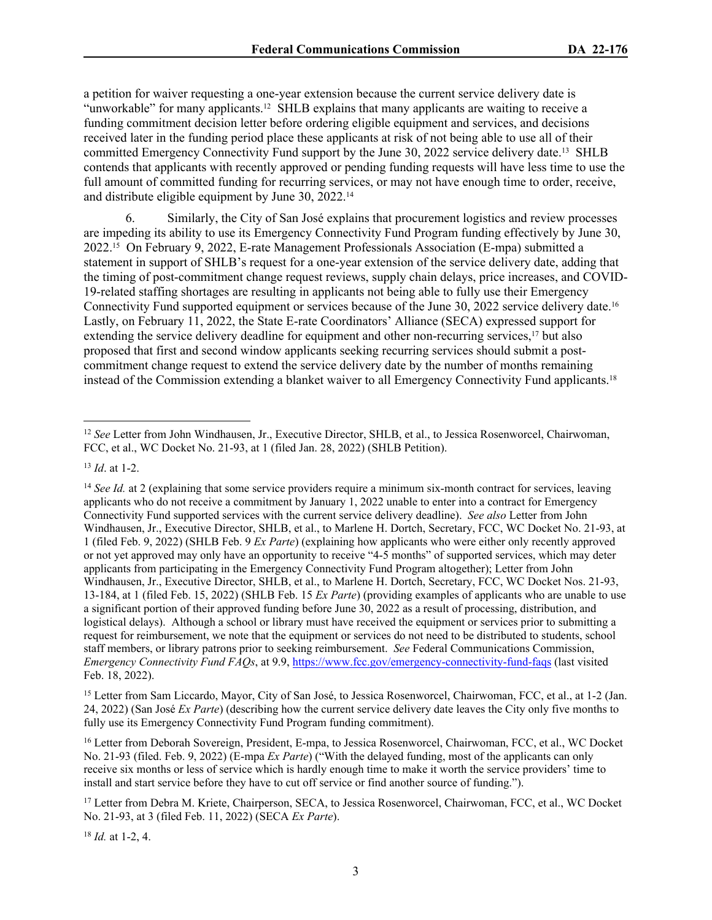a petition for waiver requesting a one-year extension because the current service delivery date is "unworkable" for many applicants.12 SHLB explains that many applicants are waiting to receive a funding commitment decision letter before ordering eligible equipment and services, and decisions received later in the funding period place these applicants at risk of not being able to use all of their committed Emergency Connectivity Fund support by the June 30, 2022 service delivery date.13 SHLB contends that applicants with recently approved or pending funding requests will have less time to use the full amount of committed funding for recurring services, or may not have enough time to order, receive, and distribute eligible equipment by June 30, 2022.<sup>14</sup>

6. Similarly, the City of San José explains that procurement logistics and review processes are impeding its ability to use its Emergency Connectivity Fund Program funding effectively by June 30, 2022.15 On February 9, 2022, E-rate Management Professionals Association (E-mpa) submitted a statement in support of SHLB's request for a one-year extension of the service delivery date, adding that the timing of post-commitment change request reviews, supply chain delays, price increases, and COVID-19-related staffing shortages are resulting in applicants not being able to fully use their Emergency Connectivity Fund supported equipment or services because of the June 30, 2022 service delivery date.<sup>16</sup> Lastly, on February 11, 2022, the State E-rate Coordinators' Alliance (SECA) expressed support for extending the service delivery deadline for equipment and other non-recurring services,<sup>17</sup> but also proposed that first and second window applicants seeking recurring services should submit a postcommitment change request to extend the service delivery date by the number of months remaining instead of the Commission extending a blanket waiver to all Emergency Connectivity Fund applicants.<sup>18</sup>

<sup>18</sup> *Id.* at 1-2, 4.

<sup>12</sup> *See* Letter from John Windhausen, Jr., Executive Director, SHLB, et al., to Jessica Rosenworcel, Chairwoman, FCC, et al., WC Docket No. 21-93, at 1 (filed Jan. 28, 2022) (SHLB Petition).

<sup>13</sup> *Id*. at 1-2.

<sup>&</sup>lt;sup>14</sup> *See Id.* at 2 (explaining that some service providers require a minimum six-month contract for services, leaving applicants who do not receive a commitment by January 1, 2022 unable to enter into a contract for Emergency Connectivity Fund supported services with the current service delivery deadline). *See also* Letter from John Windhausen, Jr., Executive Director, SHLB, et al., to Marlene H. Dortch, Secretary, FCC, WC Docket No. 21-93, at 1 (filed Feb. 9, 2022) (SHLB Feb. 9 *Ex Parte*) (explaining how applicants who were either only recently approved or not yet approved may only have an opportunity to receive "4-5 months" of supported services, which may deter applicants from participating in the Emergency Connectivity Fund Program altogether); Letter from John Windhausen, Jr., Executive Director, SHLB, et al., to Marlene H. Dortch, Secretary, FCC, WC Docket Nos. 21-93, 13-184, at 1 (filed Feb. 15, 2022) (SHLB Feb. 15 *Ex Parte*) (providing examples of applicants who are unable to use a significant portion of their approved funding before June 30, 2022 as a result of processing, distribution, and logistical delays). Although a school or library must have received the equipment or services prior to submitting a request for reimbursement, we note that the equipment or services do not need to be distributed to students, school staff members, or library patrons prior to seeking reimbursement. *See* Federal Communications Commission, *Emergency Connectivity Fund FAQs*, at 9.9, <https://www.fcc.gov/emergency-connectivity-fund-faqs> (last visited Feb. 18, 2022).

<sup>15</sup> Letter from Sam Liccardo, Mayor, City of San José, to Jessica Rosenworcel, Chairwoman, FCC, et al., at 1-2 (Jan. 24, 2022) (San José *Ex Parte*) (describing how the current service delivery date leaves the City only five months to fully use its Emergency Connectivity Fund Program funding commitment).

<sup>16</sup> Letter from Deborah Sovereign, President, E-mpa, to Jessica Rosenworcel, Chairwoman, FCC, et al., WC Docket No. 21-93 (filed. Feb. 9, 2022) (E-mpa *Ex Parte*) ("With the delayed funding, most of the applicants can only receive six months or less of service which is hardly enough time to make it worth the service providers' time to install and start service before they have to cut off service or find another source of funding.").

<sup>17</sup> Letter from Debra M. Kriete, Chairperson, SECA, to Jessica Rosenworcel, Chairwoman, FCC, et al., WC Docket No. 21-93, at 3 (filed Feb. 11, 2022) (SECA *Ex Parte*).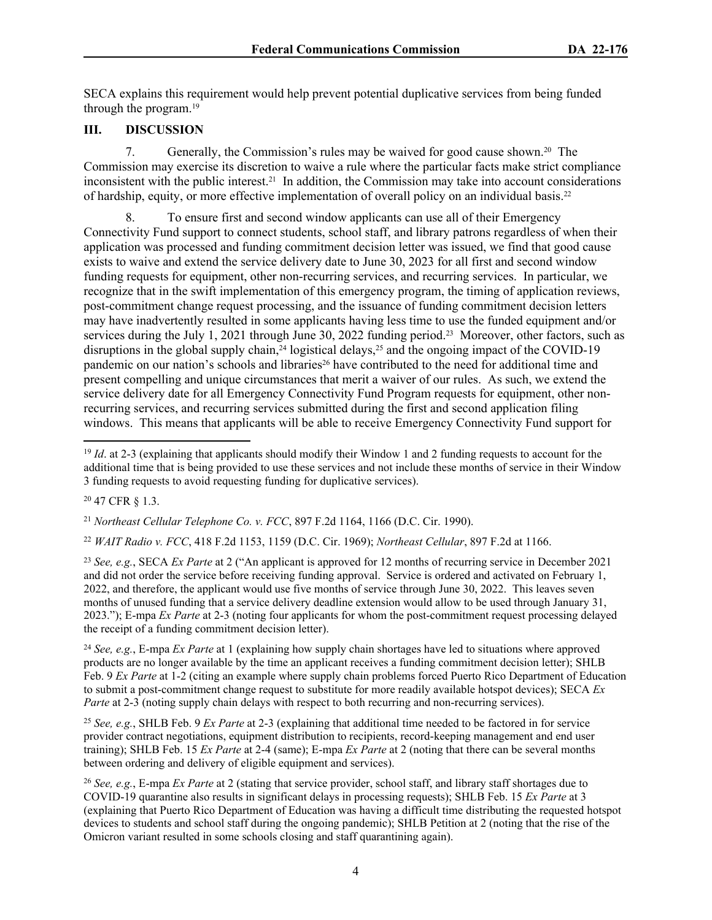SECA explains this requirement would help prevent potential duplicative services from being funded through the program.<sup>19</sup>

#### **III. DISCUSSION**

7. Generally, the Commission's rules may be waived for good cause shown.20 The Commission may exercise its discretion to waive a rule where the particular facts make strict compliance inconsistent with the public interest.<sup>21</sup> In addition, the Commission may take into account considerations of hardship, equity, or more effective implementation of overall policy on an individual basis.<sup>22</sup>

8. To ensure first and second window applicants can use all of their Emergency Connectivity Fund support to connect students, school staff, and library patrons regardless of when their application was processed and funding commitment decision letter was issued, we find that good cause exists to waive and extend the service delivery date to June 30, 2023 for all first and second window funding requests for equipment, other non-recurring services, and recurring services. In particular, we recognize that in the swift implementation of this emergency program, the timing of application reviews, post-commitment change request processing, and the issuance of funding commitment decision letters may have inadvertently resulted in some applicants having less time to use the funded equipment and/or services during the July 1, 2021 through June 30, 2022 funding period.<sup>23</sup> Moreover, other factors, such as disruptions in the global supply chain,<sup>24</sup> logistical delays,<sup>25</sup> and the ongoing impact of the COVID-19 pandemic on our nation's schools and libraries<sup>26</sup> have contributed to the need for additional time and present compelling and unique circumstances that merit a waiver of our rules. As such, we extend the service delivery date for all Emergency Connectivity Fund Program requests for equipment, other nonrecurring services, and recurring services submitted during the first and second application filing windows. This means that applicants will be able to receive Emergency Connectivity Fund support for

<sup>20</sup> 47 CFR § 1.3.

<sup>21</sup> *Northeast Cellular Telephone Co. v. FCC*, 897 F.2d 1164, 1166 (D.C. Cir. 1990).

<sup>22</sup> *WAIT Radio v. FCC*, 418 F.2d 1153, 1159 (D.C. Cir. 1969); *Northeast Cellular*, 897 F.2d at 1166.

<sup>23</sup> *See, e.g.*, SECA *Ex Parte* at 2 ("An applicant is approved for 12 months of recurring service in December 2021 and did not order the service before receiving funding approval. Service is ordered and activated on February 1, 2022, and therefore, the applicant would use five months of service through June 30, 2022. This leaves seven months of unused funding that a service delivery deadline extension would allow to be used through January 31, 2023."); E-mpa *Ex Parte* at 2-3 (noting four applicants for whom the post-commitment request processing delayed the receipt of a funding commitment decision letter).

<sup>24</sup> *See, e.g.*, E-mpa *Ex Parte* at 1 (explaining how supply chain shortages have led to situations where approved products are no longer available by the time an applicant receives a funding commitment decision letter); SHLB Feb. 9 *Ex Parte* at 1-2 (citing an example where supply chain problems forced Puerto Rico Department of Education to submit a post-commitment change request to substitute for more readily available hotspot devices); SECA *Ex Parte* at 2-3 (noting supply chain delays with respect to both recurring and non-recurring services).

<sup>25</sup> *See, e.g.*, SHLB Feb. 9 *Ex Parte* at 2-3 (explaining that additional time needed to be factored in for service provider contract negotiations, equipment distribution to recipients, record-keeping management and end user training); SHLB Feb. 15 *Ex Parte* at 2-4 (same); E-mpa *Ex Parte* at 2 (noting that there can be several months between ordering and delivery of eligible equipment and services).

<sup>26</sup> *See, e.g.*, E-mpa *Ex Parte* at 2 (stating that service provider, school staff, and library staff shortages due to COVID-19 quarantine also results in significant delays in processing requests); SHLB Feb. 15 *Ex Parte* at 3 (explaining that Puerto Rico Department of Education was having a difficult time distributing the requested hotspot devices to students and school staff during the ongoing pandemic); SHLB Petition at 2 (noting that the rise of the Omicron variant resulted in some schools closing and staff quarantining again).

<sup>&</sup>lt;sup>19</sup> *Id.* at 2-3 (explaining that applicants should modify their Window 1 and 2 funding requests to account for the additional time that is being provided to use these services and not include these months of service in their Window 3 funding requests to avoid requesting funding for duplicative services).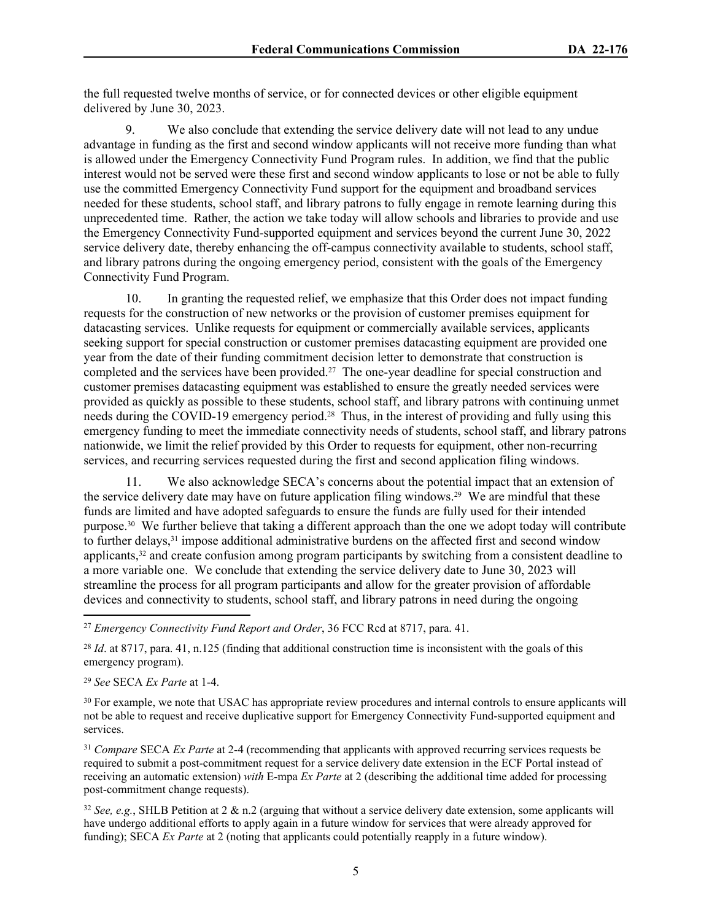the full requested twelve months of service, or for connected devices or other eligible equipment delivered by June 30, 2023.

9. We also conclude that extending the service delivery date will not lead to any undue advantage in funding as the first and second window applicants will not receive more funding than what is allowed under the Emergency Connectivity Fund Program rules. In addition, we find that the public interest would not be served were these first and second window applicants to lose or not be able to fully use the committed Emergency Connectivity Fund support for the equipment and broadband services needed for these students, school staff, and library patrons to fully engage in remote learning during this unprecedented time. Rather, the action we take today will allow schools and libraries to provide and use the Emergency Connectivity Fund-supported equipment and services beyond the current June 30, 2022 service delivery date, thereby enhancing the off-campus connectivity available to students, school staff, and library patrons during the ongoing emergency period, consistent with the goals of the Emergency Connectivity Fund Program.

10. In granting the requested relief, we emphasize that this Order does not impact funding requests for the construction of new networks or the provision of customer premises equipment for datacasting services. Unlike requests for equipment or commercially available services, applicants seeking support for special construction or customer premises datacasting equipment are provided one year from the date of their funding commitment decision letter to demonstrate that construction is completed and the services have been provided.27 The one-year deadline for special construction and customer premises datacasting equipment was established to ensure the greatly needed services were provided as quickly as possible to these students, school staff, and library patrons with continuing unmet needs during the COVID-19 emergency period.28 Thus, in the interest of providing and fully using this emergency funding to meet the immediate connectivity needs of students, school staff, and library patrons nationwide, we limit the relief provided by this Order to requests for equipment, other non-recurring services, and recurring services requested during the first and second application filing windows.

11. We also acknowledge SECA's concerns about the potential impact that an extension of the service delivery date may have on future application filing windows.29 We are mindful that these funds are limited and have adopted safeguards to ensure the funds are fully used for their intended purpose.30 We further believe that taking a different approach than the one we adopt today will contribute to further delays,<sup>31</sup> impose additional administrative burdens on the affected first and second window applicants,32 and create confusion among program participants by switching from a consistent deadline to a more variable one. We conclude that extending the service delivery date to June 30, 2023 will streamline the process for all program participants and allow for the greater provision of affordable devices and connectivity to students, school staff, and library patrons in need during the ongoing

<sup>27</sup> *Emergency Connectivity Fund Report and Order*, 36 FCC Rcd at 8717, para. 41.

<sup>28</sup> *Id.* at 8717, para. 41, n.125 (finding that additional construction time is inconsistent with the goals of this emergency program).

<sup>29</sup> *See* SECA *Ex Parte* at 1-4.

<sup>30</sup> For example, we note that USAC has appropriate review procedures and internal controls to ensure applicants will not be able to request and receive duplicative support for Emergency Connectivity Fund-supported equipment and services.

<sup>31</sup> *Compare* SECA *Ex Parte* at 2-4 (recommending that applicants with approved recurring services requests be required to submit a post-commitment request for a service delivery date extension in the ECF Portal instead of receiving an automatic extension) *with* E-mpa *Ex Parte* at 2 (describing the additional time added for processing post-commitment change requests).

<sup>32</sup> *See, e.g.*, SHLB Petition at 2 & n.2 (arguing that without a service delivery date extension, some applicants will have undergo additional efforts to apply again in a future window for services that were already approved for funding); SECA *Ex Parte* at 2 (noting that applicants could potentially reapply in a future window).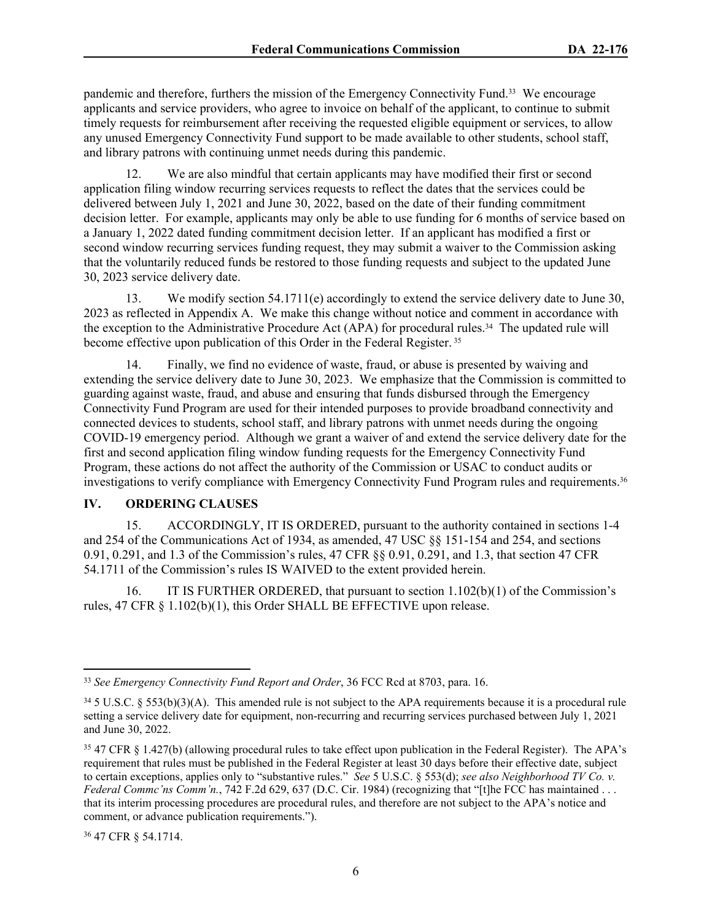pandemic and therefore, furthers the mission of the Emergency Connectivity Fund.33 We encourage applicants and service providers, who agree to invoice on behalf of the applicant, to continue to submit timely requests for reimbursement after receiving the requested eligible equipment or services, to allow any unused Emergency Connectivity Fund support to be made available to other students, school staff, and library patrons with continuing unmet needs during this pandemic.

12. We are also mindful that certain applicants may have modified their first or second application filing window recurring services requests to reflect the dates that the services could be delivered between July 1, 2021 and June 30, 2022, based on the date of their funding commitment decision letter. For example, applicants may only be able to use funding for 6 months of service based on a January 1, 2022 dated funding commitment decision letter. If an applicant has modified a first or second window recurring services funding request, they may submit a waiver to the Commission asking that the voluntarily reduced funds be restored to those funding requests and subject to the updated June 30, 2023 service delivery date.

13. We modify section 54.1711(e) accordingly to extend the service delivery date to June 30, 2023 as reflected in Appendix A. We make this change without notice and comment in accordance with the exception to the Administrative Procedure Act (APA) for procedural rules.34 The updated rule will become effective upon publication of this Order in the Federal Register.<sup>35</sup>

14. Finally, we find no evidence of waste, fraud, or abuse is presented by waiving and extending the service delivery date to June 30, 2023. We emphasize that the Commission is committed to guarding against waste, fraud, and abuse and ensuring that funds disbursed through the Emergency Connectivity Fund Program are used for their intended purposes to provide broadband connectivity and connected devices to students, school staff, and library patrons with unmet needs during the ongoing COVID-19 emergency period. Although we grant a waiver of and extend the service delivery date for the first and second application filing window funding requests for the Emergency Connectivity Fund Program, these actions do not affect the authority of the Commission or USAC to conduct audits or investigations to verify compliance with Emergency Connectivity Fund Program rules and requirements.<sup>36</sup>

#### **IV. ORDERING CLAUSES**

15. ACCORDINGLY, IT IS ORDERED, pursuant to the authority contained in sections 1-4 and 254 of the Communications Act of 1934, as amended, 47 USC §§ 151-154 and 254, and sections 0.91, 0.291, and 1.3 of the Commission's rules, 47 CFR §§ 0.91, 0.291, and 1.3, that section 47 CFR 54.1711 of the Commission's rules IS WAIVED to the extent provided herein.

16. IT IS FURTHER ORDERED, that pursuant to section 1.102(b)(1) of the Commission's rules, 47 CFR § 1.102(b)(1), this Order SHALL BE EFFECTIVE upon release.

36 47 CFR § 54.1714.

<sup>33</sup> *See Emergency Connectivity Fund Report and Order*, 36 FCC Rcd at 8703, para. 16.

 $34.5$  U.S.C. § 553(b)(3)(A). This amended rule is not subject to the APA requirements because it is a procedural rule setting a service delivery date for equipment, non-recurring and recurring services purchased between July 1, 2021 and June 30, 2022.

<sup>35</sup> 47 CFR § 1.427(b) (allowing procedural rules to take effect upon publication in the Federal Register). The APA's requirement that rules must be published in the Federal Register at least 30 days before their effective date, subject to certain exceptions, applies only to "substantive rules." *See* 5 U.S.C. § 553(d); *see also Neighborhood TV Co. v. Federal Commc'ns Comm'n.*, 742 F.2d 629, 637 (D.C. Cir. 1984) (recognizing that "[t]he FCC has maintained ... that its interim processing procedures are procedural rules, and therefore are not subject to the APA's notice and comment, or advance publication requirements.").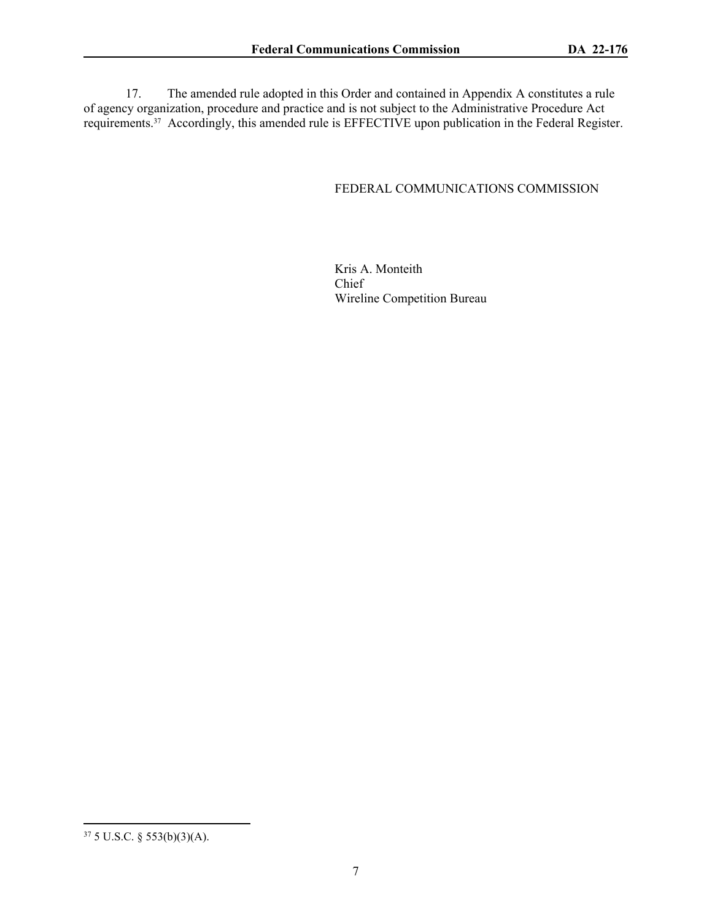17. The amended rule adopted in this Order and contained in Appendix A constitutes a rule of agency organization, procedure and practice and is not subject to the Administrative Procedure Act requirements.<sup>37</sup> Accordingly, this amended rule is EFFECTIVE upon publication in the Federal Register.

#### FEDERAL COMMUNICATIONS COMMISSION

Kris A. Monteith Chief Wireline Competition Bureau

<sup>37</sup> 5 U.S.C. § 553(b)(3)(A).